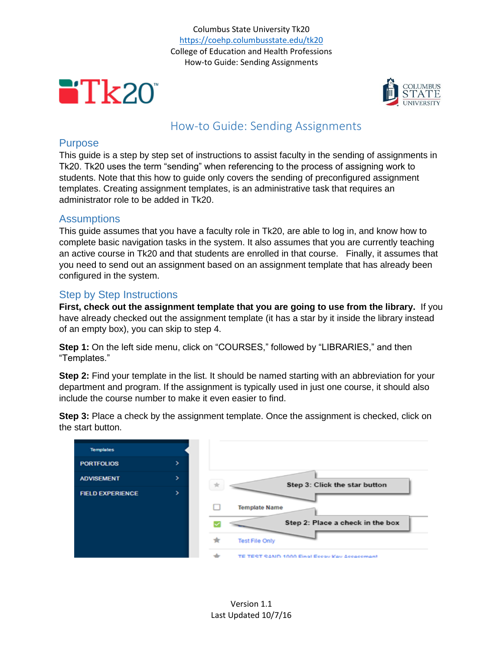Columbus State University Tk20 <https://coehp.columbusstate.edu/tk20> College of Education and Health Professions How-to Guide: Sending Assignments





# How-to Guide: Sending Assignments

#### Purpose

This guide is a step by step set of instructions to assist faculty in the sending of assignments in Tk20. Tk20 uses the term "sending" when referencing to the process of assigning work to students. Note that this how to guide only covers the sending of preconfigured assignment templates. Creating assignment templates, is an administrative task that requires an administrator role to be added in Tk20.

### **Assumptions**

This guide assumes that you have a faculty role in Tk20, are able to log in, and know how to complete basic navigation tasks in the system. It also assumes that you are currently teaching an active course in Tk20 and that students are enrolled in that course. Finally, it assumes that you need to send out an assignment based on an assignment template that has already been configured in the system.

## Step by Step Instructions

**First, check out the assignment template that you are going to use from the library.** If you have already checked out the assignment template (it has a star by it inside the library instead of an empty box), you can skip to step 4.

**Step 1:** On the left side menu, click on "COURSES," followed by "LIBRARIES," and then "Templates."

**Step 2:** Find your template in the list. It should be named starting with an abbreviation for your department and program. If the assignment is typically used in just one course, it should also include the course number to make it even easier to find.

**Step 3:** Place a check by the assignment template. Once the assignment is checked, click on the start button.

| <b>Templates</b>        |   |                                              |
|-------------------------|---|----------------------------------------------|
| <b>PORTFOLIOS</b>       | ⋗ |                                              |
| <b>ADVISEMENT</b>       | > | Step 3: Click the star button                |
| <b>FIELD EXPERIENCE</b> | > |                                              |
|                         |   | <b>Template Name</b>                         |
|                         |   | Step 2: Place a check in the box             |
|                         |   | ★<br><b>Test File Only</b>                   |
|                         |   | TE TEST SAND 1000 Einal Eccay Kay Accassmant |